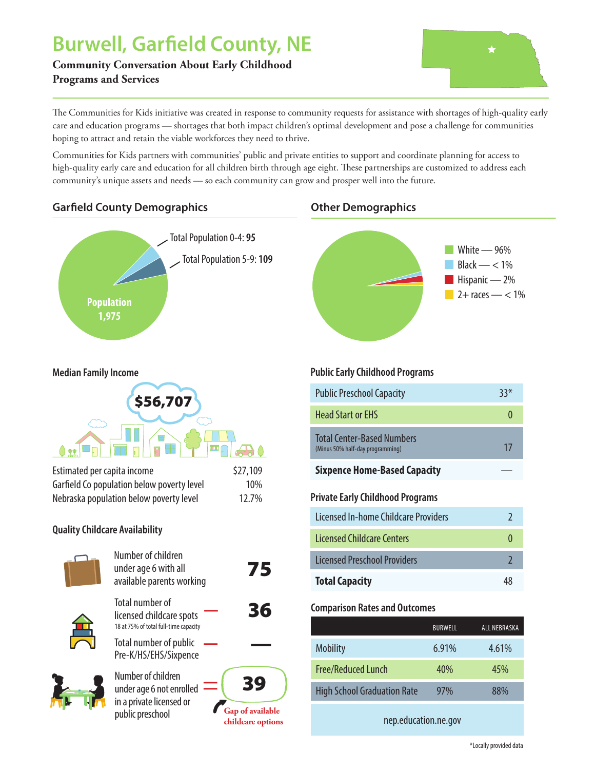# **Burwell, Garfield County, NE**

**Community Conversation About Early Childhood Programs and Services**



The Communities for Kids initiative was created in response to community requests for assistance with shortages of high-quality early care and education programs — shortages that both impact children's optimal development and pose a challenge for communities hoping to attract and retain the viable workforces they need to thrive.

Communities for Kids partners with communities' public and private entities to support and coordinate planning for access to high-quality early care and education for all children birth through age eight. These partnerships are customized to address each community's unique assets and needs — so each community can grow and prosper well into the future.

## **Garfi eld County Demographics Other Demographics**





#### **Median Family Income**



| Estimated per capita income                | \$27,109 |  |  |  |
|--------------------------------------------|----------|--|--|--|
| Garfield Co population below poverty level | 10%      |  |  |  |
| Nebraska population below poverty level    | 12.7%    |  |  |  |
| <b>Quality Childcare Availability</b>      |          |  |  |  |



| Number of children<br>under age 6 with all<br>available parents working                        | 75                                                 |
|------------------------------------------------------------------------------------------------|----------------------------------------------------|
| <b>Total number of</b><br>licensed childcare spots<br>18 at 75% of total full-time capacity    | 36                                                 |
| Total number of public<br>Pre-K/HS/EHS/Sixpence                                                |                                                    |
| Number of children<br>under age 6 not enrolled<br>in a private licensed or<br>public preschool | 39<br><b>Gap of available</b><br>childcare options |

### **Public Early Childhood Programs**

| <b>Public Preschool Capacity</b>                               | $33*$          |
|----------------------------------------------------------------|----------------|
| <b>Head Start or EHS</b>                                       | $\theta$       |
| Total Center-Based Numbers<br>(Minus 50% half-day programming) | 17             |
| <b>Sixpence Home-Based Capacity</b>                            |                |
| Private Early Childhood Programs                               |                |
| Licensed In-home Childcare Providers                           | $\mathfrak{I}$ |
| Licensed Childcare Centers                                     | $\theta$       |
| <b>Licensed Preschool Providers</b>                            | $\mathfrak{I}$ |
| <b>Total Capacity</b>                                          | 48             |

#### **Comparison Rates and Outcomes**

|                                    | <b>BURWELL</b> | ALL NEBRASKA |
|------------------------------------|----------------|--------------|
| <b>Mobility</b>                    | $6.91\%$       | 4.61%        |
| <b>Free/Reduced Lunch</b>          | 40%            | 45%          |
| <b>High School Graduation Rate</b> | 97%            | 88%          |

nep.education.ne.gov